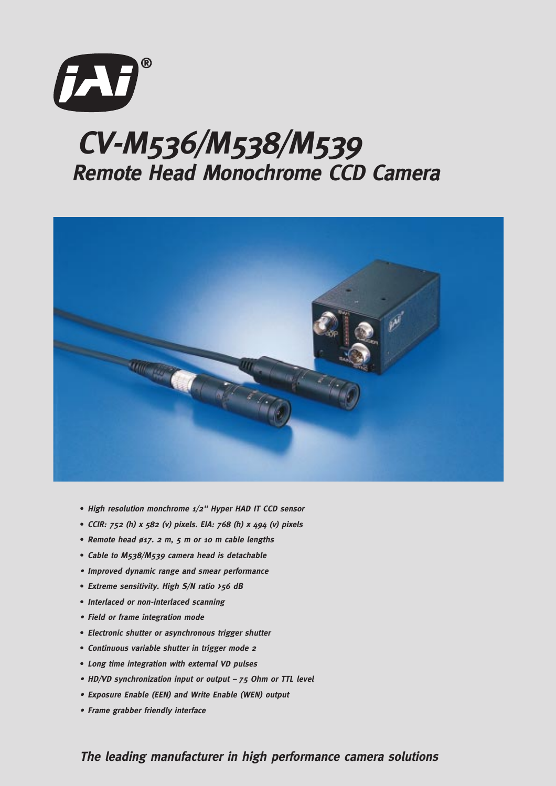

# **Remote Head Monochrome CCD Camera CV-M536/M538/M539**



- **• High resolution monchrome 1/2" Hyper HAD IT CCD sensor**
- **• CCIR: 752 (h) x 582 (v) pixels. EIA: 768 (h) x 494 (v) pixels**
- **• Remote head ø17. 2 m, 5 m or 10 m cable lengths**
- **• Cable to M538/M539 camera head is detachable**
- **• Improved dynamic range and smear performance**
- **• Extreme sensitivity. High S/N ratio >56 dB**
- **• Interlaced or non-interlaced scanning**
- **• Field or frame integration mode**
- **• Electronic shutter or asynchronous trigger shutter**
- **• Continuous variable shutter in trigger mode 2**
- **• Long time integration with external VD pulses**
- **• HD/VD synchronization input or output – 75 Ohm or TTL level**
- **• Exposure Enable (EEN) and Write Enable (WEN) output**
- **• Frame grabber friendly interface**

## **The leading manufacturer in high performance camera solutions**